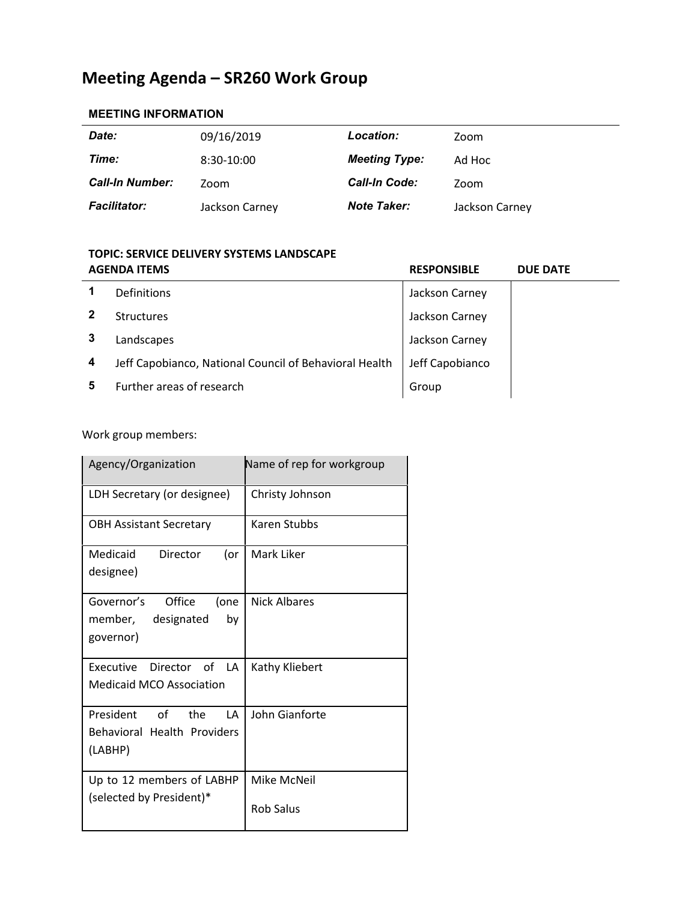## **Meeting Agenda – SR260 Work Group**

## **MEETING INFORMATION**

| Date:                  | 09/16/2019     | Location:            | Zoom           |
|------------------------|----------------|----------------------|----------------|
| Time:                  | 8:30-10:00     | <b>Meeting Type:</b> | Ad Hoc         |
| <b>Call-In Number:</b> | Zoom           | <b>Call-In Code:</b> | Zoom           |
| <b>Facilitator:</b>    | Jackson Carney | <b>Note Taker:</b>   | Jackson Carney |

## **TOPIC: SERVICE DELIVERY SYSTEMS LANDSCAPE AGENDA ITEMS RESPONSIBLE DUE DATE**

|   | Definitions                                            | Jackson Carney  |  |
|---|--------------------------------------------------------|-----------------|--|
|   | <b>Structures</b>                                      | Jackson Carney  |  |
|   | Landscapes                                             | Jackson Carney  |  |
| 4 | Jeff Capobianco, National Council of Behavioral Health | Jeff Capobianco |  |
|   | Further areas of research                              | Group           |  |

Work group members:

| Agency/Organization                                                        | Name of rep for workgroup       |
|----------------------------------------------------------------------------|---------------------------------|
| LDH Secretary (or designee)                                                | Christy Johnson                 |
| <b>OBH Assistant Secretary</b>                                             | Karen Stubbs                    |
| Medicaid<br>Director<br>(or<br>designee)                                   | Mark Liker                      |
| Office<br>Governor's<br>(one<br>designated<br>member,<br>bv<br>governor)   | Nick Albares                    |
| Executive Director of LA<br><b>Medicaid MCO Association</b>                | Kathy Kliebert                  |
| President of<br>the<br>LΑ<br><b>Behavioral Health Providers</b><br>(LABHP) | John Gianforte                  |
| Up to 12 members of LABHP<br>(selected by President)*                      | Mike McNeil<br><b>Rob Salus</b> |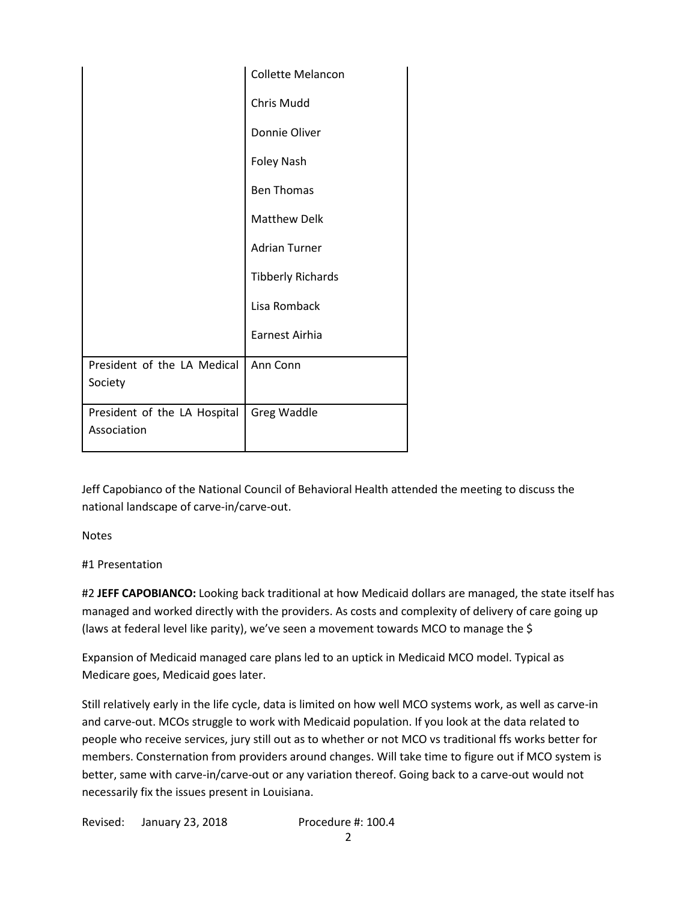|                                             | Collette Melancon        |
|---------------------------------------------|--------------------------|
|                                             | <b>Chris Mudd</b>        |
|                                             | Donnie Oliver            |
|                                             | <b>Foley Nash</b>        |
|                                             | <b>Ben Thomas</b>        |
|                                             | <b>Matthew Delk</b>      |
|                                             | <b>Adrian Turner</b>     |
|                                             | <b>Tibberly Richards</b> |
|                                             | Lisa Romback             |
|                                             | Earnest Airhia           |
| President of the LA Medical<br>Society      | Ann Conn                 |
| President of the LA Hospital<br>Association | Greg Waddle              |

Jeff Capobianco of the National Council of Behavioral Health attended the meeting to discuss the national landscape of carve-in/carve-out.

Notes

#1 Presentation

#2 **JEFF CAPOBIANCO:** Looking back traditional at how Medicaid dollars are managed, the state itself has managed and worked directly with the providers. As costs and complexity of delivery of care going up (laws at federal level like parity), we've seen a movement towards MCO to manage the \$

Expansion of Medicaid managed care plans led to an uptick in Medicaid MCO model. Typical as Medicare goes, Medicaid goes later.

Still relatively early in the life cycle, data is limited on how well MCO systems work, as well as carve-in and carve-out. MCOs struggle to work with Medicaid population. If you look at the data related to people who receive services, jury still out as to whether or not MCO vs traditional ffs works better for members. Consternation from providers around changes. Will take time to figure out if MCO system is better, same with carve-in/carve-out or any variation thereof. Going back to a carve-out would not necessarily fix the issues present in Louisiana.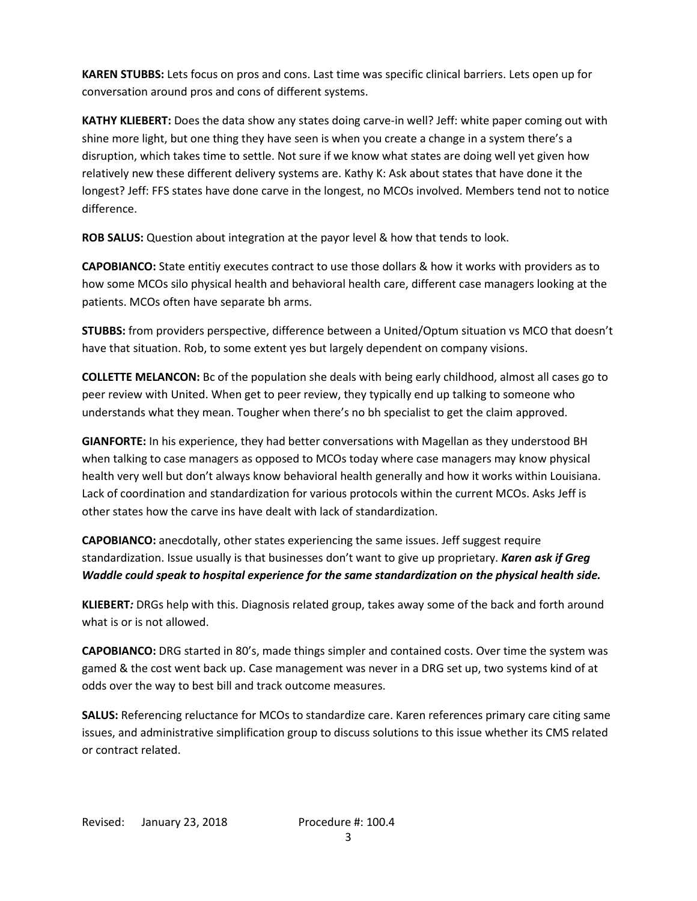**KAREN STUBBS:** Lets focus on pros and cons. Last time was specific clinical barriers. Lets open up for conversation around pros and cons of different systems.

**KATHY KLIEBERT:** Does the data show any states doing carve-in well? Jeff: white paper coming out with shine more light, but one thing they have seen is when you create a change in a system there's a disruption, which takes time to settle. Not sure if we know what states are doing well yet given how relatively new these different delivery systems are. Kathy K: Ask about states that have done it the longest? Jeff: FFS states have done carve in the longest, no MCOs involved. Members tend not to notice difference.

**ROB SALUS:** Question about integration at the payor level & how that tends to look.

**CAPOBIANCO:** State entitiy executes contract to use those dollars & how it works with providers as to how some MCOs silo physical health and behavioral health care, different case managers looking at the patients. MCOs often have separate bh arms.

**STUBBS:** from providers perspective, difference between a United/Optum situation vs MCO that doesn't have that situation. Rob, to some extent yes but largely dependent on company visions.

**COLLETTE MELANCON:** Bc of the population she deals with being early childhood, almost all cases go to peer review with United. When get to peer review, they typically end up talking to someone who understands what they mean. Tougher when there's no bh specialist to get the claim approved.

**GIANFORTE:** In his experience, they had better conversations with Magellan as they understood BH when talking to case managers as opposed to MCOs today where case managers may know physical health very well but don't always know behavioral health generally and how it works within Louisiana. Lack of coordination and standardization for various protocols within the current MCOs. Asks Jeff is other states how the carve ins have dealt with lack of standardization.

**CAPOBIANCO:** anecdotally, other states experiencing the same issues. Jeff suggest require standardization. Issue usually is that businesses don't want to give up proprietary. *Karen ask if Greg Waddle could speak to hospital experience for the same standardization on the physical health side.*

**KLIEBERT***:* DRGs help with this. Diagnosis related group, takes away some of the back and forth around what is or is not allowed.

**CAPOBIANCO:** DRG started in 80's, made things simpler and contained costs. Over time the system was gamed & the cost went back up. Case management was never in a DRG set up, two systems kind of at odds over the way to best bill and track outcome measures.

**SALUS:** Referencing reluctance for MCOs to standardize care. Karen references primary care citing same issues, and administrative simplification group to discuss solutions to this issue whether its CMS related or contract related.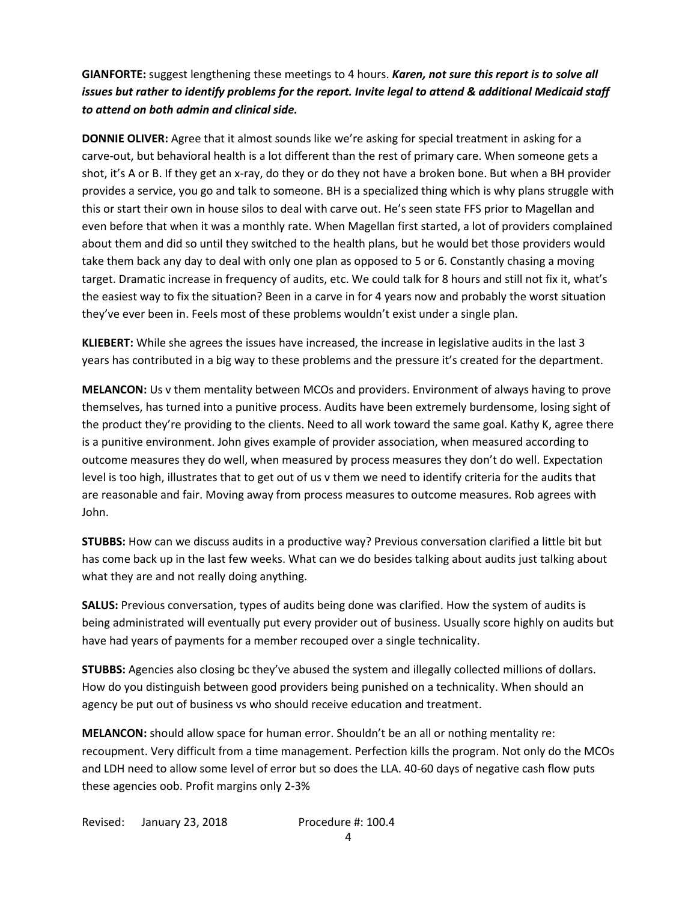**GIANFORTE:** suggest lengthening these meetings to 4 hours. *Karen, not sure this report is to solve all issues but rather to identify problems for the report. Invite legal to attend & additional Medicaid staff to attend on both admin and clinical side.*

**DONNIE OLIVER:** Agree that it almost sounds like we're asking for special treatment in asking for a carve-out, but behavioral health is a lot different than the rest of primary care. When someone gets a shot, it's A or B. If they get an x-ray, do they or do they not have a broken bone. But when a BH provider provides a service, you go and talk to someone. BH is a specialized thing which is why plans struggle with this or start their own in house silos to deal with carve out. He's seen state FFS prior to Magellan and even before that when it was a monthly rate. When Magellan first started, a lot of providers complained about them and did so until they switched to the health plans, but he would bet those providers would take them back any day to deal with only one plan as opposed to 5 or 6. Constantly chasing a moving target. Dramatic increase in frequency of audits, etc. We could talk for 8 hours and still not fix it, what's the easiest way to fix the situation? Been in a carve in for 4 years now and probably the worst situation they've ever been in. Feels most of these problems wouldn't exist under a single plan.

**KLIEBERT:** While she agrees the issues have increased, the increase in legislative audits in the last 3 years has contributed in a big way to these problems and the pressure it's created for the department.

**MELANCON:** Us v them mentality between MCOs and providers. Environment of always having to prove themselves, has turned into a punitive process. Audits have been extremely burdensome, losing sight of the product they're providing to the clients. Need to all work toward the same goal. Kathy K, agree there is a punitive environment. John gives example of provider association, when measured according to outcome measures they do well, when measured by process measures they don't do well. Expectation level is too high, illustrates that to get out of us v them we need to identify criteria for the audits that are reasonable and fair. Moving away from process measures to outcome measures. Rob agrees with John.

**STUBBS:** How can we discuss audits in a productive way? Previous conversation clarified a little bit but has come back up in the last few weeks. What can we do besides talking about audits just talking about what they are and not really doing anything.

**SALUS:** Previous conversation, types of audits being done was clarified. How the system of audits is being administrated will eventually put every provider out of business. Usually score highly on audits but have had years of payments for a member recouped over a single technicality.

**STUBBS:** Agencies also closing bc they've abused the system and illegally collected millions of dollars. How do you distinguish between good providers being punished on a technicality. When should an agency be put out of business vs who should receive education and treatment.

**MELANCON:** should allow space for human error. Shouldn't be an all or nothing mentality re: recoupment. Very difficult from a time management. Perfection kills the program. Not only do the MCOs and LDH need to allow some level of error but so does the LLA. 40-60 days of negative cash flow puts these agencies oob. Profit margins only 2-3%